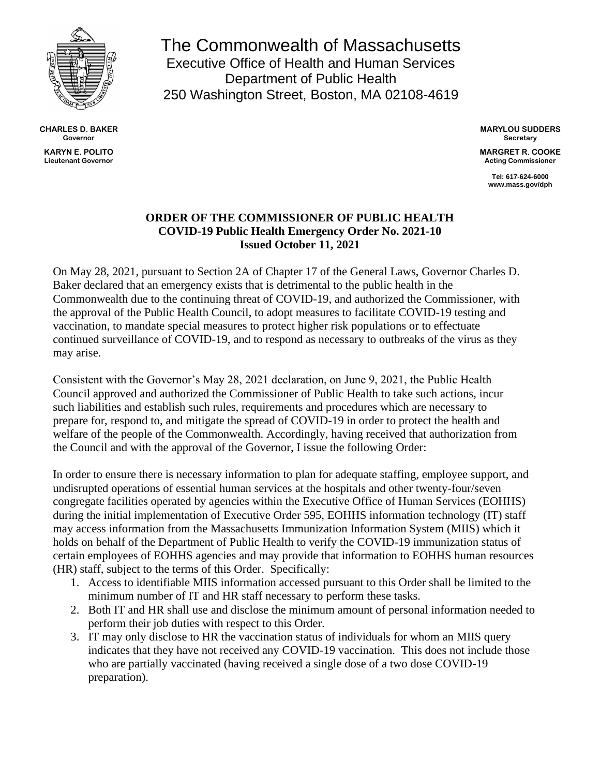

**CHARLES D. BAKER Governor KARYN E. POLITO**

**Lieutenant Governor**

The Commonwealth of Massachusetts Executive Office of Health and Human Services Department of Public Health 250 Washington Street, Boston, MA 02108-4619

> **MARYLOU SUDDERS Secretary**

> **MARGRET R. COOKE Acting Commissioner**

> > **Tel: 617-624-6000 www.mass.gov/dph**

## **ORDER OF THE COMMISSIONER OF PUBLIC HEALTH COVID-19 Public Health Emergency Order No. 2021-10 Issued October 11, 2021**

On May 28, 2021, pursuant to Section 2A of Chapter 17 of the General Laws, Governor Charles D. Baker declared that an emergency exists that is detrimental to the public health in the Commonwealth due to the continuing threat of COVID-19, and authorized the Commissioner, with the approval of the Public Health Council, to adopt measures to facilitate COVID-19 testing and vaccination, to mandate special measures to protect higher risk populations or to effectuate continued surveillance of COVID-19, and to respond as necessary to outbreaks of the virus as they may arise.

Consistent with the Governor's May 28, 2021 declaration, on June 9, 2021, the Public Health Council approved and authorized the Commissioner of Public Health to take such actions, incur such liabilities and establish such rules, requirements and procedures which are necessary to prepare for, respond to, and mitigate the spread of COVID-19 in order to protect the health and welfare of the people of the Commonwealth. Accordingly, having received that authorization from the Council and with the approval of the Governor, I issue the following Order:

In order to ensure there is necessary information to plan for adequate staffing, employee support, and undisrupted operations of essential human services at the hospitals and other twenty-four/seven congregate facilities operated by agencies within the Executive Office of Human Services (EOHHS) during the initial implementation of Executive Order 595, EOHHS information technology (IT) staff may access information from the Massachusetts Immunization Information System (MIIS) which it holds on behalf of the Department of Public Health to verify the COVID-19 immunization status of certain employees of EOHHS agencies and may provide that information to EOHHS human resources (HR) staff, subject to the terms of this Order. Specifically:

- 1. Access to identifiable MIIS information accessed pursuant to this Order shall be limited to the minimum number of IT and HR staff necessary to perform these tasks.
- 2. Both IT and HR shall use and disclose the minimum amount of personal information needed to perform their job duties with respect to this Order.
- 3. IT may only disclose to HR the vaccination status of individuals for whom an MIIS query indicates that they have not received any COVID-19 vaccination. This does not include those who are partially vaccinated (having received a single dose of a two dose COVID-19 preparation).